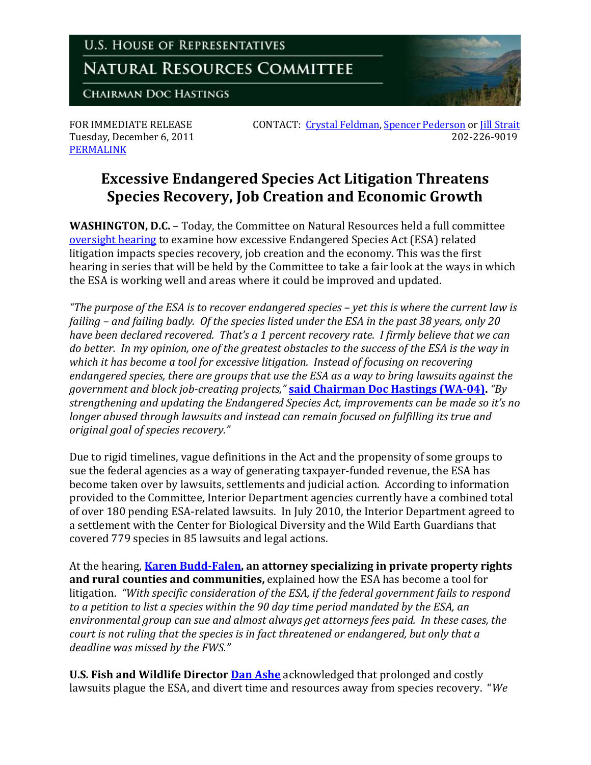

Tuesday, December 6, 2011 [PERMALINK](http://naturalresources.house.gov/News/DocumentSingle.aspx?DocumentID=271408)

FOR IMMEDIATE RELEASE CONTACT: [Crystal Feldman,](mailto:crystal.feldman@mail.house.gov) [Spencer Pederson](mailto:spencer.pederson@mail.house.gov) or <u>[Jill Strait](mailto:jill.strait@mail.house.gov)</u><br>Tuesdav. December 6. 2011

## **Excessive Endangered Species Act Litigation Threatens Species Recovery, Job Creation and Economic Growth**

**WASHINGTON, D.C.** – Today, the Committee on Natural Resources held a full committee [oversight hearing](http://naturalresources.house.gov/Calendar/EventSingle.aspx?EventID=270315) to examine how excessive Endangered Species Act (ESA) related litigation impacts species recovery, job creation and the economy. This was the first hearing in series that will be held by the Committee to take a fair look at the ways in which the ESA is working well and areas where it could be improved and updated.

*"The purpose of the ESA is to recover endangered species – yet this is where the current law is failing – and failing badly. Of the species listed under the ESA in the past 38 years, only 20 have been declared recovered. That's a 1 percent recovery rate. I firmly believe that we can do better. In my opinion, one of the greatest obstacles to the success of the ESA is the way in which it has become a tool for excessive litigation. Instead of focusing on recovering endangered species, there are groups that use the ESA as a way to bring lawsuits against the government and block job-creating projects,"* **[said Chairman Doc Hastings](http://naturalresources.house.gov/UploadedFiles/HastingsOpeningStatement12.06.11.pdf) (WA-04).** *"By strengthening and updating the Endangered Species Act, improvements can be made so it's no longer abused through lawsuits and instead can remain focused on fulfilling its true and original goal of species recovery."*

Due to rigid timelines, vague definitions in the Act and the propensity of some groups to sue the federal agencies as a way of generating taxpayer-funded revenue, the ESA has become taken over by lawsuits, settlements and judicial action. According to information provided to the Committee, Interior Department agencies currently have a combined total of over 180 pending ESA-related lawsuits. In July 2010, the Interior Department agreed to a settlement with the Center for Biological Diversity and the Wild Earth Guardians that covered 779 species in 85 lawsuits and legal actions.

At the hearing, **[Karen Budd-Falen,](http://naturalresources.house.gov/UploadedFiles/BuddFalenTestimony12.06.11.pdf) an attorney specializing in private property rights and rural counties and communities,** explained how the ESA has become a tool for litigation. *"With specific consideration of the ESA, if the federal government fails to respond to a petition to list a species within the 90 day time period mandated by the ESA, an environmental group can sue and almost always get attorneys fees paid. In these cases, the court is not ruling that the species is in fact threatened or endangered, but only that a deadline was missed by the FWS."* 

**U.S. Fish and Wildlife Director <b>Dan Ashe** acknowledged that prolonged and costly lawsuits plague the ESA, and divert time and resources away from species recovery. "*We*